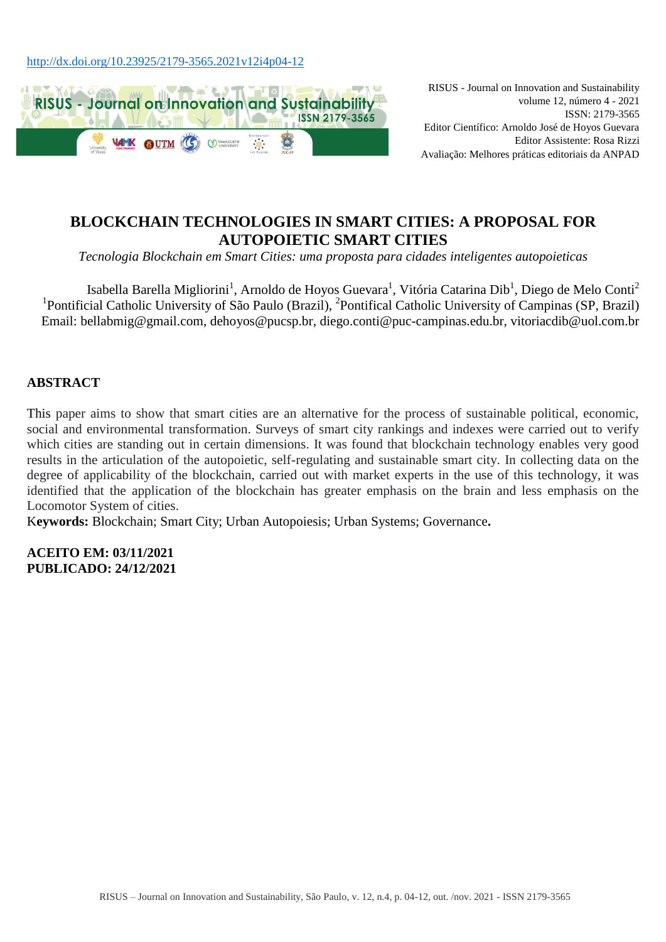

RISUS - Journal on Innovation and Sustainability volume 12, número 4 - 2021 ISSN: 2179-3565 Editor Científico: Arnoldo José de Hoyos Guevara Editor Assistente: Rosa Rizzi Avaliação: Melhores práticas editoriais da ANPAD

# **BLOCKCHAIN TECHNOLOGIES IN SMART CITIES: A PROPOSAL FOR AUTOPOIETIC SMART CITIES**

*Tecnologia Blockchain em Smart Cities: uma proposta para cidades inteligentes autopoieticas*

Isabella Barella Migliorini<sup>1</sup>, Arnoldo de Hoyos Guevara<sup>1</sup>, Vitória Catarina Dib<sup>1</sup>, Diego de Melo Conti<sup>2</sup> <sup>1</sup>Pontificial Catholic University of São Paulo (Brazil), <sup>2</sup>Pontifical Catholic University of Campinas (SP, Brazil) Email: [bellabmig@gmail.com,](mailto:bellabmig@gmail.com) dehoyos@pucsp.br, diego.conti@puc-campinas.edu.br, vitoriacdib@uol.com.br

## **ABSTRACT**

This paper aims to show that smart cities are an alternative for the process of sustainable political, economic, social and environmental transformation. Surveys of smart city rankings and indexes were carried out to verify which cities are standing out in certain dimensions. It was found that blockchain technology enables very good results in the articulation of the autopoietic, self-regulating and sustainable smart city. In collecting data on the degree of applicability of the blockchain, carried out with market experts in the use of this technology, it was identified that the application of the blockchain has greater emphasis on the brain and less emphasis on the Locomotor System of cities.

K**eywords:** Blockchain; Smart City; Urban Autopoiesis; Urban Systems; Governance**.**

**ACEITO EM: 03/11/2021 PUBLICADO: 24/12/2021**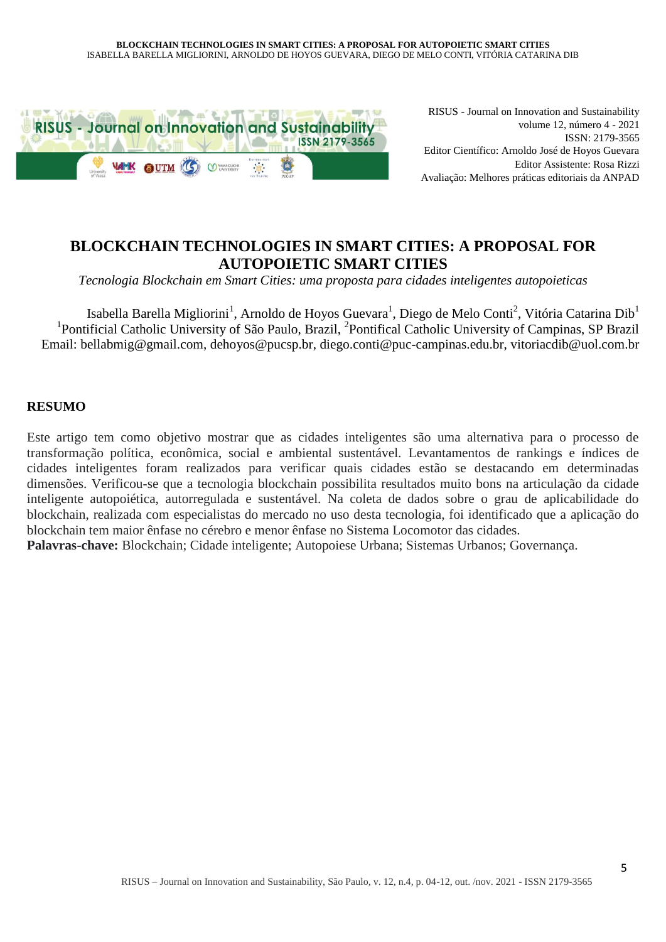

RISUS - Journal on Innovation and Sustainability volume 12, número 4 - 2021 ISSN: 2179-3565 Editor Científico: Arnoldo José de Hoyos Guevara Editor Assistente: Rosa Rizzi Avaliação: Melhores práticas editoriais da ANPAD

# **BLOCKCHAIN TECHNOLOGIES IN SMART CITIES: A PROPOSAL FOR AUTOPOIETIC SMART CITIES**

*Tecnologia Blockchain em Smart Cities: uma proposta para cidades inteligentes autopoieticas*

Isabella Barella Migliorini<sup>1</sup>, Arnoldo de Hoyos Guevara<sup>1</sup>, Diego de Melo Conti<sup>2</sup>, Vitória Catarina Dib<sup>1</sup> <sup>1</sup>Pontificial Catholic University of São Paulo, Brazil, <sup>2</sup>Pontifical Catholic University of Campinas, SP Brazil Email: [bellabmig@gmail.com,](mailto:bellabmig@gmail.com) dehoyos@pucsp.br, diego.conti@puc-campinas.edu.br, vitoriacdib@uol.com.br

## **RESUMO**

Este artigo tem como objetivo mostrar que as cidades inteligentes são uma alternativa para o processo de transformação política, econômica, social e ambiental sustentável. Levantamentos de rankings e índices de cidades inteligentes foram realizados para verificar quais cidades estão se destacando em determinadas dimensões. Verificou-se que a tecnologia blockchain possibilita resultados muito bons na articulação da cidade inteligente autopoiética, autorregulada e sustentável. Na coleta de dados sobre o grau de aplicabilidade do blockchain, realizada com especialistas do mercado no uso desta tecnologia, foi identificado que a aplicação do blockchain tem maior ênfase no cérebro e menor ênfase no Sistema Locomotor das cidades.

**Palavras-chave:** Blockchain; Cidade inteligente; Autopoiese Urbana; Sistemas Urbanos; Governança.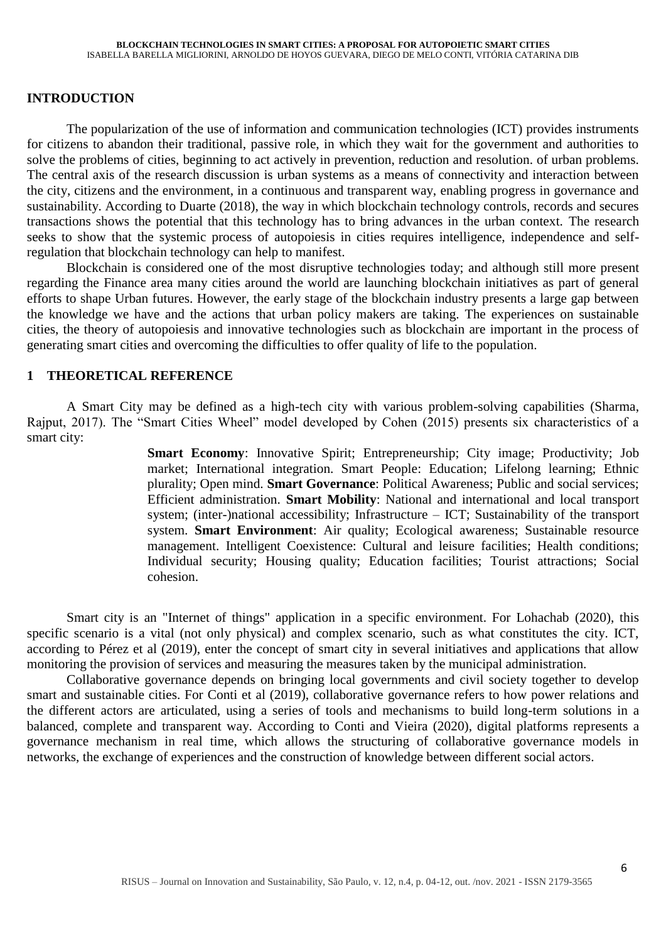## **INTRODUCTION**

The popularization of the use of information and communication technologies (ICT) provides instruments for citizens to abandon their traditional, passive role, in which they wait for the government and authorities to solve the problems of cities, beginning to act actively in prevention, reduction and resolution. of urban problems. The central axis of the research discussion is urban systems as a means of connectivity and interaction between the city, citizens and the environment, in a continuous and transparent way, enabling progress in governance and sustainability. According to Duarte (2018), the way in which blockchain technology controls, records and secures transactions shows the potential that this technology has to bring advances in the urban context. The research seeks to show that the systemic process of autopoiesis in cities requires intelligence, independence and selfregulation that blockchain technology can help to manifest.

Blockchain is considered one of the most disruptive technologies today; and although still more present regarding the Finance area many cities around the world are launching blockchain initiatives as part of general efforts to shape Urban futures. However, the early stage of the blockchain industry presents a large gap between the knowledge we have and the actions that urban policy makers are taking. The experiences on sustainable cities, the theory of autopoiesis and innovative technologies such as blockchain are important in the process of generating smart cities and overcoming the difficulties to offer quality of life to the population.

## **1 THEORETICAL REFERENCE**

A Smart City may be defined as a high-tech city with various problem-solving capabilities (Sharma, Rajput, 2017). The "Smart Cities Wheel" model developed by Cohen (2015) presents six characteristics of a smart city:

> **Smart Economy**: Innovative Spirit; Entrepreneurship; City image; Productivity; Job market; International integration. Smart People: Education; Lifelong learning; Ethnic plurality; Open mind. **Smart Governance**: Political Awareness; Public and social services; Efficient administration. **Smart Mobility**: National and international and local transport system; (inter-)national accessibility; Infrastructure – ICT; Sustainability of the transport system. **Smart Environment**: Air quality; Ecological awareness; Sustainable resource management. Intelligent Coexistence: Cultural and leisure facilities; Health conditions; Individual security; Housing quality; Education facilities; Tourist attractions; Social cohesion.

Smart city is an "Internet of things" application in a specific environment. For Lohachab (2020), this specific scenario is a vital (not only physical) and complex scenario, such as what constitutes the city. ICT, according to Pérez et al (2019), enter the concept of smart city in several initiatives and applications that allow monitoring the provision of services and measuring the measures taken by the municipal administration.

Collaborative governance depends on bringing local governments and civil society together to develop smart and sustainable cities. For Conti et al (2019), collaborative governance refers to how power relations and the different actors are articulated, using a series of tools and mechanisms to build long-term solutions in a balanced, complete and transparent way. According to Conti and Vieira (2020), digital platforms represents a governance mechanism in real time, which allows the structuring of collaborative governance models in networks, the exchange of experiences and the construction of knowledge between different social actors.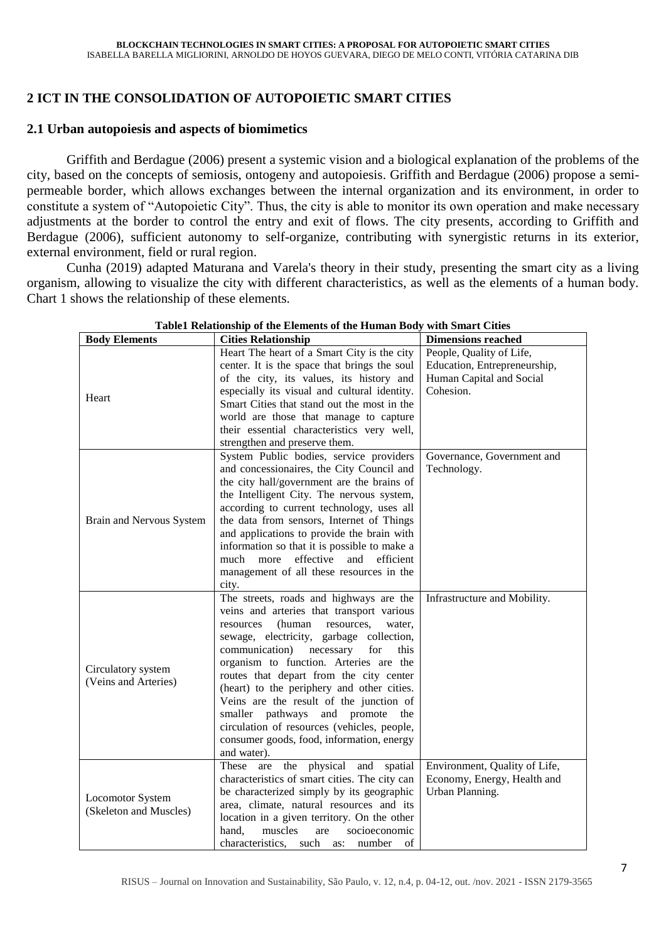## **2 ICT IN THE CONSOLIDATION OF AUTOPOIETIC SMART CITIES**

## **2.1 Urban autopoiesis and aspects of biomimetics**

Griffith and Berdague (2006) present a systemic vision and a biological explanation of the problems of the city, based on the concepts of semiosis, ontogeny and autopoiesis. Griffith and Berdague (2006) propose a semipermeable border, which allows exchanges between the internal organization and its environment, in order to constitute a system of "Autopoietic City". Thus, the city is able to monitor its own operation and make necessary adjustments at the border to control the entry and exit of flows. The city presents, according to Griffith and Berdague (2006), sufficient autonomy to self-organize, contributing with synergistic returns in its exterior, external environment, field or rural region.

Cunha (2019) adapted Maturana and Varela's theory in their study, presenting the smart city as a living organism, allowing to visualize the city with different characteristics, as well as the elements of a human body. Chart 1 shows the relationship of these elements.

| <b>Body Elements</b>                              | <b>Cities Relationship</b>                        | <b>Dimensions reached</b>     |
|---------------------------------------------------|---------------------------------------------------|-------------------------------|
| Heart                                             | Heart The heart of a Smart City is the city       | People, Quality of Life,      |
|                                                   | center. It is the space that brings the soul      | Education, Entrepreneurship,  |
|                                                   | of the city, its values, its history and          | Human Capital and Social      |
|                                                   | especially its visual and cultural identity.      | Cohesion.                     |
|                                                   | Smart Cities that stand out the most in the       |                               |
|                                                   | world are those that manage to capture            |                               |
|                                                   | their essential characteristics very well,        |                               |
|                                                   | strengthen and preserve them.                     |                               |
| Brain and Nervous System                          | System Public bodies, service providers           | Governance, Government and    |
|                                                   | and concessionaires, the City Council and         | Technology.                   |
|                                                   | the city hall/government are the brains of        |                               |
|                                                   | the Intelligent City. The nervous system,         |                               |
|                                                   | according to current technology, uses all         |                               |
|                                                   | the data from sensors, Internet of Things         |                               |
|                                                   | and applications to provide the brain with        |                               |
|                                                   | information so that it is possible to make a      |                               |
|                                                   | much more<br>effective<br>and<br>efficient        |                               |
|                                                   | management of all these resources in the          |                               |
|                                                   | city.                                             |                               |
| Circulatory system<br>(Veins and Arteries)        | The streets, roads and highways are the           | Infrastructure and Mobility.  |
|                                                   | veins and arteries that transport various         |                               |
|                                                   | (human resources,<br>resources<br>water,          |                               |
|                                                   | sewage, electricity, garbage collection,          |                               |
|                                                   | communication)<br>necessary<br>for<br>this        |                               |
|                                                   | organism to function. Arteries are the            |                               |
|                                                   | routes that depart from the city center           |                               |
|                                                   | (heart) to the periphery and other cities.        |                               |
|                                                   | Veins are the result of the junction of           |                               |
|                                                   | smaller pathways and promote<br>the               |                               |
|                                                   | circulation of resources (vehicles, people,       |                               |
|                                                   | consumer goods, food, information, energy         |                               |
|                                                   | and water).                                       |                               |
| <b>Locomotor System</b><br>(Skeleton and Muscles) | the<br>physical<br>These<br>are<br>and<br>spatial | Environment, Quality of Life, |
|                                                   | characteristics of smart cities. The city can     | Economy, Energy, Health and   |
|                                                   | be characterized simply by its geographic         | Urban Planning.               |
|                                                   | area, climate, natural resources and its          |                               |
|                                                   | location in a given territory. On the other       |                               |
|                                                   | muscles<br>hand,<br>socioeconomic<br>are          |                               |
|                                                   | characteristics,<br>such as:<br>number<br>of      |                               |

#### **Table1 Relationship of the Elements of the Human Body with Smart Cities**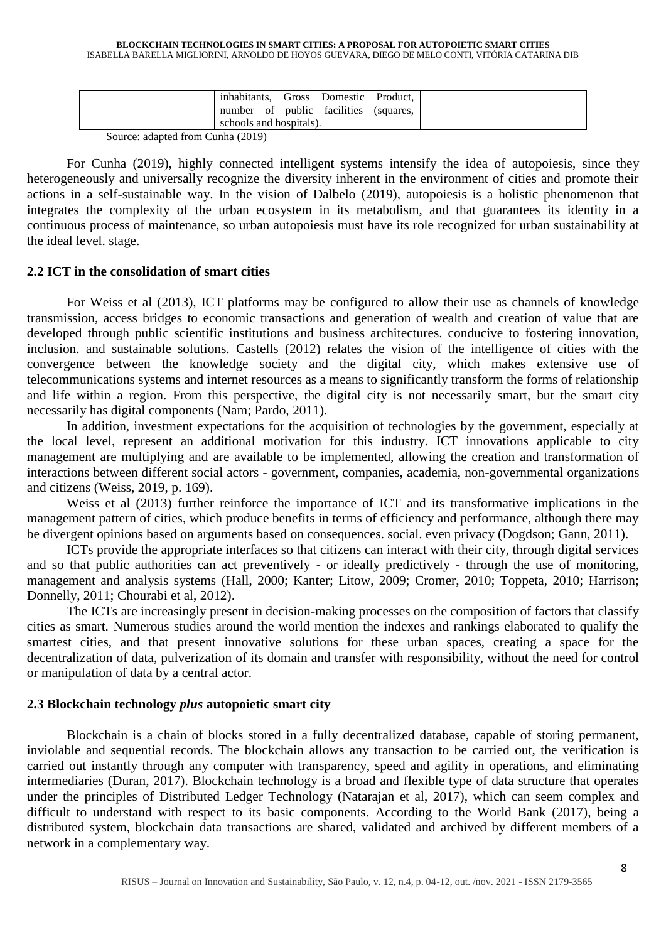#### **BLOCKCHAIN TECHNOLOGIES IN SMART CITIES: A PROPOSAL FOR AUTOPOIETIC SMART CITIES** ISABELLA BARELLA MIGLIORINI, ARNOLDO DE HOYOS GUEVARA, DIEGO DE MELO CONTI, VITÓRIA CATARINA DIB

|--|

Source: adapted from Cunha (2019)

For Cunha (2019), highly connected intelligent systems intensify the idea of autopoiesis, since they heterogeneously and universally recognize the diversity inherent in the environment of cities and promote their actions in a self-sustainable way. In the vision of Dalbelo (2019), autopoiesis is a holistic phenomenon that integrates the complexity of the urban ecosystem in its metabolism, and that guarantees its identity in a continuous process of maintenance, so urban autopoiesis must have its role recognized for urban sustainability at the ideal level. stage.

### **2.2 ICT in the consolidation of smart cities**

For Weiss et al (2013), ICT platforms may be configured to allow their use as channels of knowledge transmission, access bridges to economic transactions and generation of wealth and creation of value that are developed through public scientific institutions and business architectures. conducive to fostering innovation, inclusion. and sustainable solutions. Castells (2012) relates the vision of the intelligence of cities with the convergence between the knowledge society and the digital city, which makes extensive use of telecommunications systems and internet resources as a means to significantly transform the forms of relationship and life within a region. From this perspective, the digital city is not necessarily smart, but the smart city necessarily has digital components (Nam; Pardo, 2011).

In addition, investment expectations for the acquisition of technologies by the government, especially at the local level, represent an additional motivation for this industry. ICT innovations applicable to city management are multiplying and are available to be implemented, allowing the creation and transformation of interactions between different social actors - government, companies, academia, non-governmental organizations and citizens (Weiss, 2019, p. 169).

Weiss et al (2013) further reinforce the importance of ICT and its transformative implications in the management pattern of cities, which produce benefits in terms of efficiency and performance, although there may be divergent opinions based on arguments based on consequences. social. even privacy (Dogdson; Gann, 2011).

ICTs provide the appropriate interfaces so that citizens can interact with their city, through digital services and so that public authorities can act preventively - or ideally predictively - through the use of monitoring, management and analysis systems (Hall, 2000; Kanter; Litow, 2009; Cromer, 2010; Toppeta, 2010; Harrison; Donnelly, 2011; Chourabi et al, 2012).

The ICTs are increasingly present in decision-making processes on the composition of factors that classify cities as smart. Numerous studies around the world mention the indexes and rankings elaborated to qualify the smartest cities, and that present innovative solutions for these urban spaces, creating a space for the decentralization of data, pulverization of its domain and transfer with responsibility, without the need for control or manipulation of data by a central actor.

## **2.3 Blockchain technology** *plus* **autopoietic smart city**

Blockchain is a chain of blocks stored in a fully decentralized database, capable of storing permanent, inviolable and sequential records. The blockchain allows any transaction to be carried out, the verification is carried out instantly through any computer with transparency, speed and agility in operations, and eliminating intermediaries (Duran, 2017). Blockchain technology is a broad and flexible type of data structure that operates under the principles of Distributed Ledger Technology (Natarajan et al, 2017), which can seem complex and difficult to understand with respect to its basic components. According to the World Bank (2017), being a distributed system, blockchain data transactions are shared, validated and archived by different members of a network in a complementary way.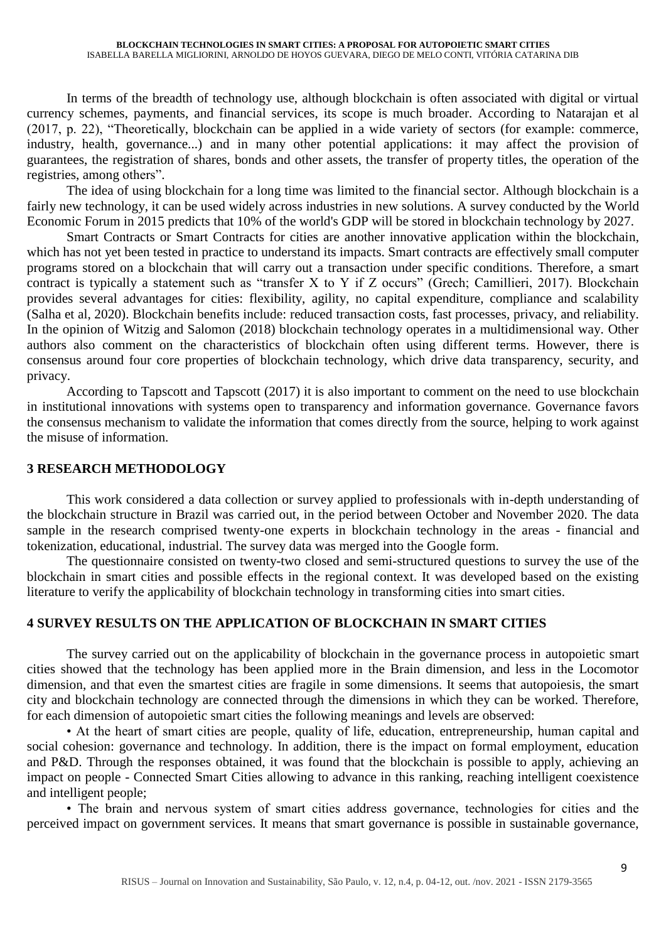In terms of the breadth of technology use, although blockchain is often associated with digital or virtual currency schemes, payments, and financial services, its scope is much broader. According to Natarajan et al (2017, p. 22), "Theoretically, blockchain can be applied in a wide variety of sectors (for example: commerce, industry, health, governance...) and in many other potential applications: it may affect the provision of guarantees, the registration of shares, bonds and other assets, the transfer of property titles, the operation of the registries, among others".

The idea of using blockchain for a long time was limited to the financial sector. Although blockchain is a fairly new technology, it can be used widely across industries in new solutions. A survey conducted by the World Economic Forum in 2015 predicts that 10% of the world's GDP will be stored in blockchain technology by 2027.

Smart Contracts or Smart Contracts for cities are another innovative application within the blockchain, which has not yet been tested in practice to understand its impacts. Smart contracts are effectively small computer programs stored on a blockchain that will carry out a transaction under specific conditions. Therefore, a smart contract is typically a statement such as "transfer X to Y if Z occurs" (Grech; Camillieri, 2017). Blockchain provides several advantages for cities: flexibility, agility, no capital expenditure, compliance and scalability (Salha et al, 2020). Blockchain benefits include: reduced transaction costs, fast processes, privacy, and reliability. In the opinion of Witzig and Salomon (2018) blockchain technology operates in a multidimensional way. Other authors also comment on the characteristics of blockchain often using different terms. However, there is consensus around four core properties of blockchain technology, which drive data transparency, security, and privacy.

According to Tapscott and Tapscott (2017) it is also important to comment on the need to use blockchain in institutional innovations with systems open to transparency and information governance. Governance favors the consensus mechanism to validate the information that comes directly from the source, helping to work against the misuse of information.

## **3 RESEARCH METHODOLOGY**

This work considered a data collection or survey applied to professionals with in-depth understanding of the blockchain structure in Brazil was carried out, in the period between October and November 2020. The data sample in the research comprised twenty-one experts in blockchain technology in the areas - financial and tokenization, educational, industrial. The survey data was merged into the Google form.

The questionnaire consisted on twenty-two closed and semi-structured questions to survey the use of the blockchain in smart cities and possible effects in the regional context. It was developed based on the existing literature to verify the applicability of blockchain technology in transforming cities into smart cities.

## **4 SURVEY RESULTS ON THE APPLICATION OF BLOCKCHAIN IN SMART CITIES**

The survey carried out on the applicability of blockchain in the governance process in autopoietic smart cities showed that the technology has been applied more in the Brain dimension, and less in the Locomotor dimension, and that even the smartest cities are fragile in some dimensions. It seems that autopoiesis, the smart city and blockchain technology are connected through the dimensions in which they can be worked. Therefore, for each dimension of autopoietic smart cities the following meanings and levels are observed:

• At the heart of smart cities are people, quality of life, education, entrepreneurship, human capital and social cohesion: governance and technology. In addition, there is the impact on formal employment, education and P&D. Through the responses obtained, it was found that the blockchain is possible to apply, achieving an impact on people - Connected Smart Cities allowing to advance in this ranking, reaching intelligent coexistence and intelligent people;

• The brain and nervous system of smart cities address governance, technologies for cities and the perceived impact on government services. It means that smart governance is possible in sustainable governance,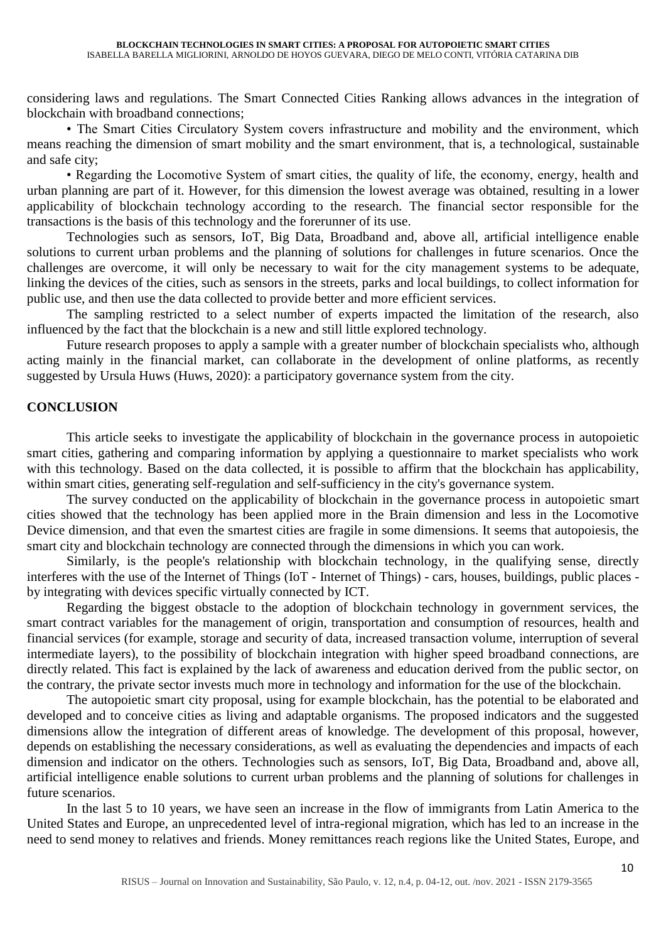considering laws and regulations. The Smart Connected Cities Ranking allows advances in the integration of blockchain with broadband connections;

• The Smart Cities Circulatory System covers infrastructure and mobility and the environment, which means reaching the dimension of smart mobility and the smart environment, that is, a technological, sustainable and safe city;

• Regarding the Locomotive System of smart cities, the quality of life, the economy, energy, health and urban planning are part of it. However, for this dimension the lowest average was obtained, resulting in a lower applicability of blockchain technology according to the research. The financial sector responsible for the transactions is the basis of this technology and the forerunner of its use.

Technologies such as sensors, IoT, Big Data, Broadband and, above all, artificial intelligence enable solutions to current urban problems and the planning of solutions for challenges in future scenarios. Once the challenges are overcome, it will only be necessary to wait for the city management systems to be adequate, linking the devices of the cities, such as sensors in the streets, parks and local buildings, to collect information for public use, and then use the data collected to provide better and more efficient services.

The sampling restricted to a select number of experts impacted the limitation of the research, also influenced by the fact that the blockchain is a new and still little explored technology.

Future research proposes to apply a sample with a greater number of blockchain specialists who, although acting mainly in the financial market, can collaborate in the development of online platforms, as recently suggested by Ursula Huws (Huws, 2020): a participatory governance system from the city.

## **CONCLUSION**

This article seeks to investigate the applicability of blockchain in the governance process in autopoietic smart cities, gathering and comparing information by applying a questionnaire to market specialists who work with this technology. Based on the data collected, it is possible to affirm that the blockchain has applicability, within smart cities, generating self-regulation and self-sufficiency in the city's governance system.

The survey conducted on the applicability of blockchain in the governance process in autopoietic smart cities showed that the technology has been applied more in the Brain dimension and less in the Locomotive Device dimension, and that even the smartest cities are fragile in some dimensions. It seems that autopoiesis, the smart city and blockchain technology are connected through the dimensions in which you can work.

Similarly, is the people's relationship with blockchain technology, in the qualifying sense, directly interferes with the use of the Internet of Things (IoT - Internet of Things) - cars, houses, buildings, public places by integrating with devices specific virtually connected by ICT.

Regarding the biggest obstacle to the adoption of blockchain technology in government services, the smart contract variables for the management of origin, transportation and consumption of resources, health and financial services (for example, storage and security of data, increased transaction volume, interruption of several intermediate layers), to the possibility of blockchain integration with higher speed broadband connections, are directly related. This fact is explained by the lack of awareness and education derived from the public sector, on the contrary, the private sector invests much more in technology and information for the use of the blockchain.

The autopoietic smart city proposal, using for example blockchain, has the potential to be elaborated and developed and to conceive cities as living and adaptable organisms. The proposed indicators and the suggested dimensions allow the integration of different areas of knowledge. The development of this proposal, however, depends on establishing the necessary considerations, as well as evaluating the dependencies and impacts of each dimension and indicator on the others. Technologies such as sensors, IoT, Big Data, Broadband and, above all, artificial intelligence enable solutions to current urban problems and the planning of solutions for challenges in future scenarios.

In the last 5 to 10 years, we have seen an increase in the flow of immigrants from Latin America to the United States and Europe, an unprecedented level of intra-regional migration, which has led to an increase in the need to send money to relatives and friends. Money remittances reach regions like the United States, Europe, and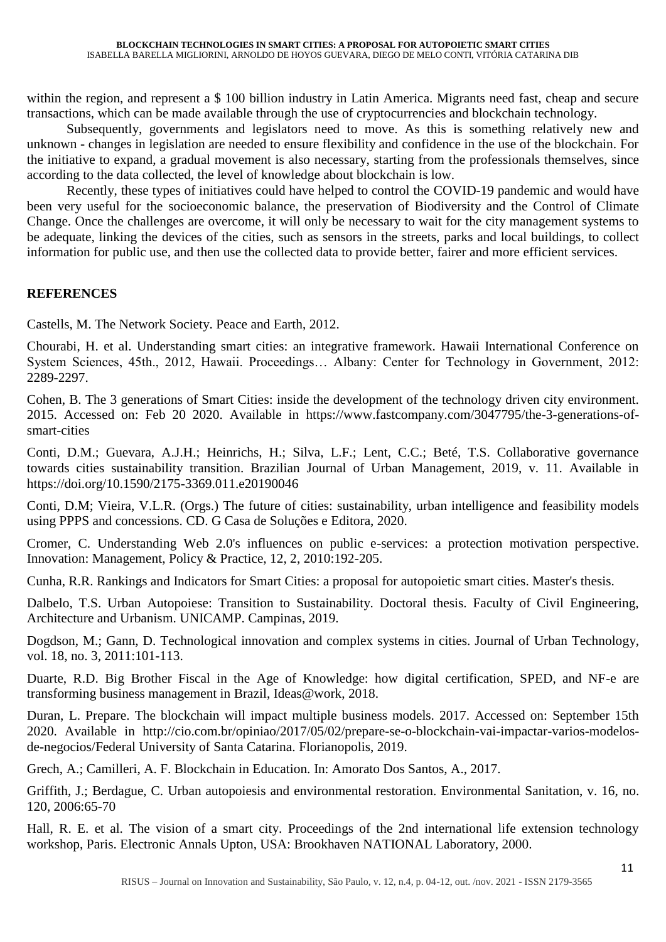within the region, and represent a \$ 100 billion industry in Latin America. Migrants need fast, cheap and secure transactions, which can be made available through the use of cryptocurrencies and blockchain technology.

Subsequently, governments and legislators need to move. As this is something relatively new and unknown - changes in legislation are needed to ensure flexibility and confidence in the use of the blockchain. For the initiative to expand, a gradual movement is also necessary, starting from the professionals themselves, since according to the data collected, the level of knowledge about blockchain is low.

Recently, these types of initiatives could have helped to control the COVID-19 pandemic and would have been very useful for the socioeconomic balance, the preservation of Biodiversity and the Control of Climate Change. Once the challenges are overcome, it will only be necessary to wait for the city management systems to be adequate, linking the devices of the cities, such as sensors in the streets, parks and local buildings, to collect information for public use, and then use the collected data to provide better, fairer and more efficient services.

## **REFERENCES**

Castells, M. The Network Society. Peace and Earth, 2012.

Chourabi, H. et al. Understanding smart cities: an integrative framework. Hawaii International Conference on System Sciences, 45th., 2012, Hawaii. Proceedings… Albany: Center for Technology in Government, 2012: 2289-2297.

Cohen, B. The 3 generations of Smart Cities: inside the development of the technology driven city environment. 2015. Accessed on: Feb 20 2020. Available in [https://www.fastcompany.com/3047795/the-3-generations-of](https://www.fastcompany.com/3047795/the-3-generations-of-smart-cities)[smart-cities](https://www.fastcompany.com/3047795/the-3-generations-of-smart-cities)

Conti, D.M.; Guevara, A.J.H.; Heinrichs, H.; Silva, L.F.; Lent, C.C.; Beté, T.S. Collaborative governance towards cities sustainability transition. Brazilian Journal of Urban Management, 2019, v. 11. Available in <https://doi.org/10.1590/2175-3369.011.e20190046>

Conti, D.M; Vieira, V.L.R. (Orgs.) The future of cities: sustainability, urban intelligence and feasibility models using PPPS and concessions. CD. G Casa de Soluções e Editora, 2020.

Cromer, C. Understanding Web 2.0's influences on public e-services: a protection motivation perspective. Innovation: Management, Policy & Practice, 12, 2, 2010:192-205.

Cunha, R.R. Rankings and Indicators for Smart Cities: a proposal for autopoietic smart cities. Master's thesis.

Dalbelo, T.S. Urban Autopoiese: Transition to Sustainability. Doctoral thesis. Faculty of Civil Engineering, Architecture and Urbanism. UNICAMP. Campinas, 2019.

Dogdson, M.; Gann, D. Technological innovation and complex systems in cities. Journal of Urban Technology, vol. 18, no. 3, 2011:101-113.

Duarte, R.D. Big Brother Fiscal in the Age of Knowledge: how digital certification, SPED, and NF-e are transforming business management in Brazil, Ideas@work, 2018.

Duran, L. Prepare. The blockchain will impact multiple business models. 2017. Accessed on: September 15th 2020. Available in [http://cio.com.br/opiniao/2017/05/02/prepare-se-o-blockchain-vai-impactar-varios-modelos](http://cio.com.br/opiniao/2017/05/02/prepare-se-o-blockchain-vai-impactar-varios-modelos-de-negocios/)[de-negocios/F](http://cio.com.br/opiniao/2017/05/02/prepare-se-o-blockchain-vai-impactar-varios-modelos-de-negocios/)ederal University of Santa Catarina. Florianopolis, 2019.

Grech, A.; Camilleri, A. F. Blockchain in Education. In: Amorato Dos Santos, A., 2017.

Griffith, J.; Berdague, C. Urban autopoiesis and environmental restoration. Environmental Sanitation, v. 16, no. 120, 2006:65-70

Hall, R. E. et al. The vision of a smart city. Proceedings of the 2nd international life extension technology workshop, Paris. Electronic Annals Upton, USA: Brookhaven NATIONAL Laboratory, 2000.